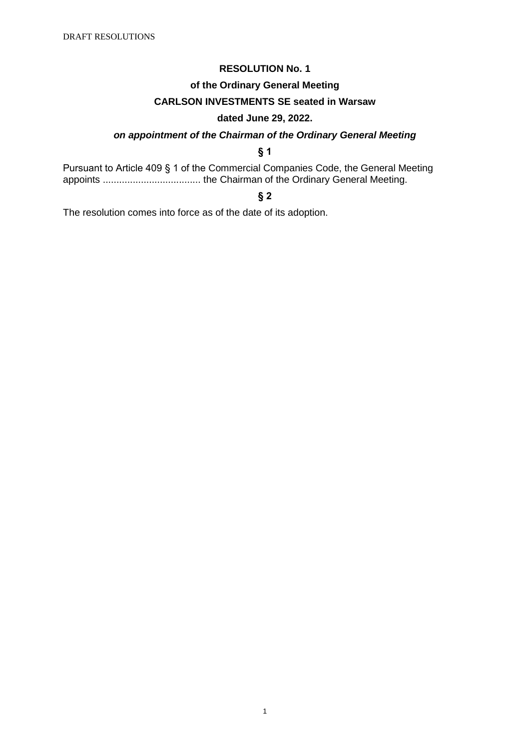### **of the Ordinary General Meeting**

# **CARLSON INVESTMENTS SE seated in Warsaw**

### **dated June 29, 2022.**

### *on appointment of the Chairman of the Ordinary General Meeting*

# **§ 1**

Pursuant to Article 409 § 1 of the Commercial Companies Code, the General Meeting appoints .................................... the Chairman of the Ordinary General Meeting.

# **§ 2**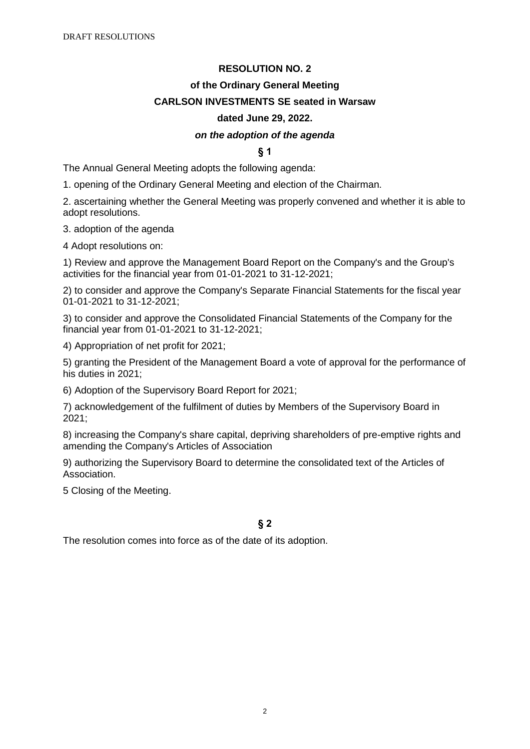**of the Ordinary General Meeting** 

### **CARLSON INVESTMENTS SE seated in Warsaw**

#### **dated June 29, 2022.**

### *on the adoption of the agenda*

# **§ 1**

The Annual General Meeting adopts the following agenda:

1. opening of the Ordinary General Meeting and election of the Chairman.

2. ascertaining whether the General Meeting was properly convened and whether it is able to adopt resolutions.

3. adoption of the agenda

4 Adopt resolutions on:

1) Review and approve the Management Board Report on the Company's and the Group's activities for the financial year from 01-01-2021 to 31-12-2021;

2) to consider and approve the Company's Separate Financial Statements for the fiscal year 01-01-2021 to 31-12-2021;

3) to consider and approve the Consolidated Financial Statements of the Company for the financial year from 01-01-2021 to 31-12-2021;

4) Appropriation of net profit for 2021;

5) granting the President of the Management Board a vote of approval for the performance of his duties in 2021;

6) Adoption of the Supervisory Board Report for 2021;

7) acknowledgement of the fulfilment of duties by Members of the Supervisory Board in 2021;

8) increasing the Company's share capital, depriving shareholders of pre-emptive rights and amending the Company's Articles of Association

9) authorizing the Supervisory Board to determine the consolidated text of the Articles of Association.

5 Closing of the Meeting.

**§ 2**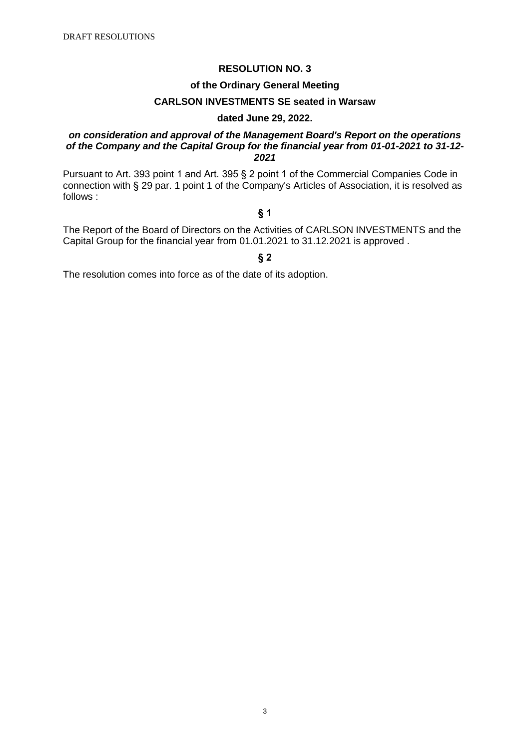# **of the Ordinary General Meeting**

### **CARLSON INVESTMENTS SE seated in Warsaw**

# **dated June 29, 2022.**

### *on consideration and approval of the Management Board's Report on the operations of the Company and the Capital Group for the financial year from 01-01-2021 to 31-12- 2021*

Pursuant to Art. 393 point 1 and Art. 395 § 2 point 1 of the Commercial Companies Code in connection with § 29 par. 1 point 1 of the Company's Articles of Association, it is resolved as follows :

## **§ 1**

The Report of the Board of Directors on the Activities of CARLSON INVESTMENTS and the Capital Group for the financial year from 01.01.2021 to 31.12.2021 is approved .

#### **§ 2**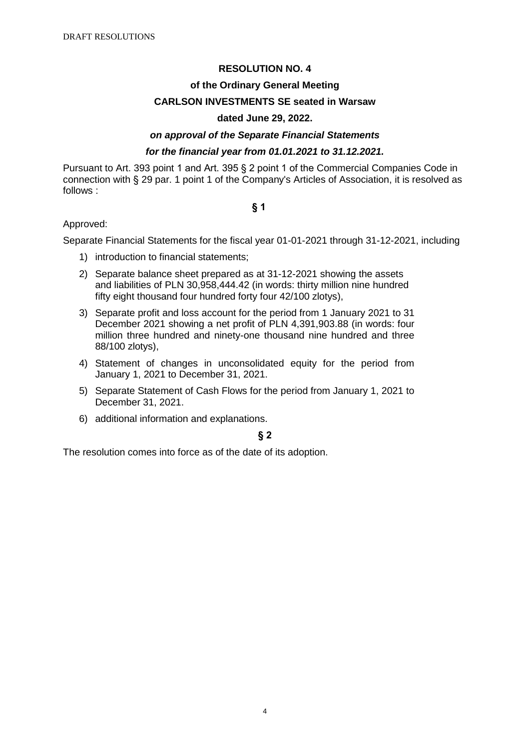#### **of the Ordinary General Meeting**

### **CARLSON INVESTMENTS SE seated in Warsaw**

### **dated June 29, 2022.**

### *on approval of the Separate Financial Statements*

# *for the financial year from 01.01.2021 to 31.12.2021.*

Pursuant to Art. 393 point 1 and Art. 395 § 2 point 1 of the Commercial Companies Code in connection with § 29 par. 1 point 1 of the Company's Articles of Association, it is resolved as follows :

#### **§ 1**

### Approved:

Separate Financial Statements for the fiscal year 01-01-2021 through 31-12-2021, including

- 1) introduction to financial statements;
- 2) Separate balance sheet prepared as at 31-12-2021 showing the assets and liabilities of PLN 30,958,444.42 (in words: thirty million nine hundred fifty eight thousand four hundred forty four 42/100 zlotys),
- 3) Separate profit and loss account for the period from 1 January 2021 to 31 December 2021 showing a net profit of PLN 4,391,903.88 (in words: four million three hundred and ninety-one thousand nine hundred and three 88/100 zlotys),
- 4) Statement of changes in unconsolidated equity for the period from January 1, 2021 to December 31, 2021.
- 5) Separate Statement of Cash Flows for the period from January 1, 2021 to December 31, 2021.
- 6) additional information and explanations.

# **§ 2**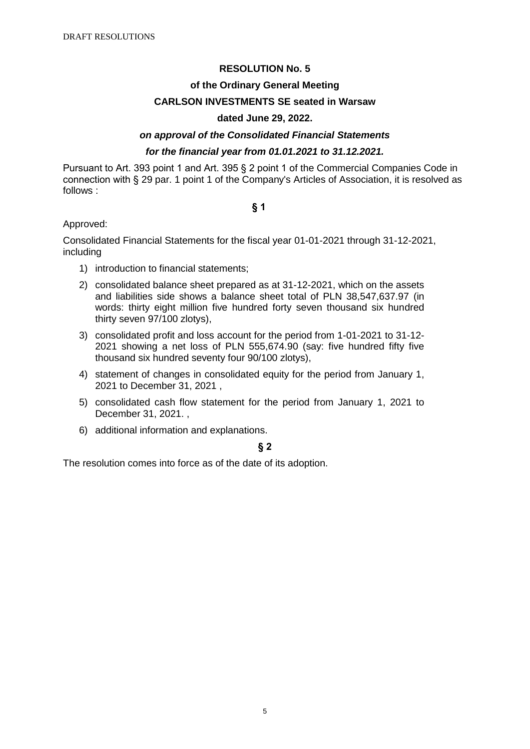#### **of the Ordinary General Meeting**

### **CARLSON INVESTMENTS SE seated in Warsaw**

### **dated June 29, 2022.**

### *on approval of the Consolidated Financial Statements*

# *for the financial year from 01.01.2021 to 31.12.2021.*

Pursuant to Art. 393 point 1 and Art. 395 § 2 point 1 of the Commercial Companies Code in connection with § 29 par. 1 point 1 of the Company's Articles of Association, it is resolved as follows :

#### **§ 1**

### Approved:

Consolidated Financial Statements for the fiscal year 01-01-2021 through 31-12-2021, including

- 1) introduction to financial statements;
- 2) consolidated balance sheet prepared as at 31-12-2021, which on the assets and liabilities side shows a balance sheet total of PLN 38,547,637.97 (in words: thirty eight million five hundred forty seven thousand six hundred thirty seven 97/100 zlotys),
- 3) consolidated profit and loss account for the period from 1-01-2021 to 31-12- 2021 showing a net loss of PLN 555,674.90 (say: five hundred fifty five thousand six hundred seventy four 90/100 zlotys),
- 4) statement of changes in consolidated equity for the period from January 1, 2021 to December 31, 2021 ,
- 5) consolidated cash flow statement for the period from January 1, 2021 to December 31, 2021. ,
- 6) additional information and explanations.

# **§ 2**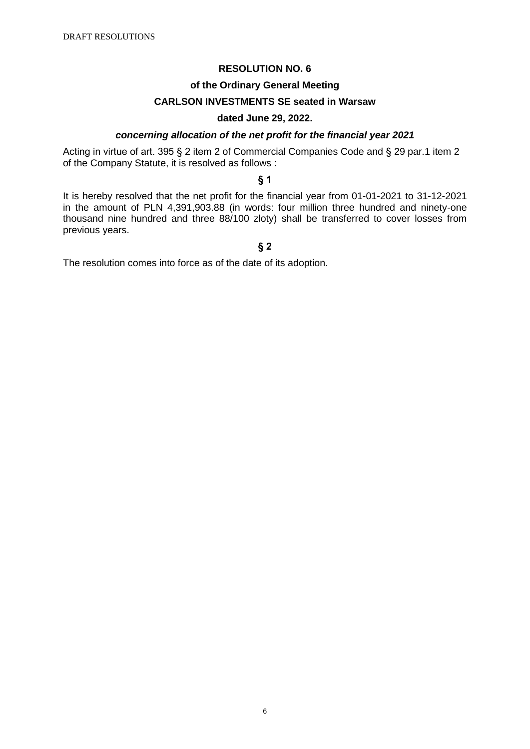### **of the Ordinary General Meeting**

### **CARLSON INVESTMENTS SE seated in Warsaw**

# **dated June 29, 2022.**

# *concerning allocation of the net profit for the financial year 2021*

Acting in virtue of art. 395 § 2 item 2 of Commercial Companies Code and § 29 par.1 item 2 of the Company Statute, it is resolved as follows :

#### **§ 1**

It is hereby resolved that the net profit for the financial year from 01-01-2021 to 31-12-2021 in the amount of PLN 4,391,903.88 (in words: four million three hundred and ninety-one thousand nine hundred and three 88/100 zloty) shall be transferred to cover losses from previous years.

# **§ 2**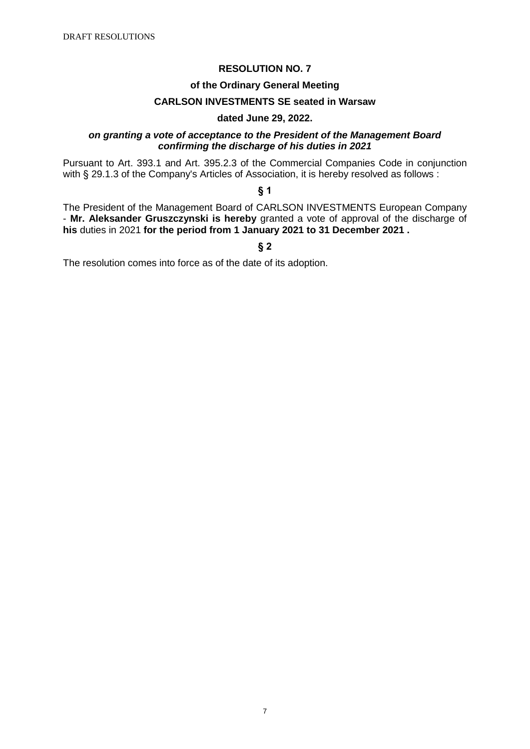# **of the Ordinary General Meeting**

### **CARLSON INVESTMENTS SE seated in Warsaw**

### **dated June 29, 2022.**

#### *on granting a vote of acceptance to the President of the Management Board confirming the discharge of his duties in 2021*

Pursuant to Art. 393.1 and Art. 395.2.3 of the Commercial Companies Code in conjunction with § 29.1.3 of the Company's Articles of Association, it is hereby resolved as follows :

### **§ 1**

The President of the Management Board of CARLSON INVESTMENTS European Company - **Mr. Aleksander Gruszczynski is hereby** granted a vote of approval of the discharge of **his** duties in 2021 **for the period from 1 January 2021 to 31 December 2021 .**

#### **§ 2**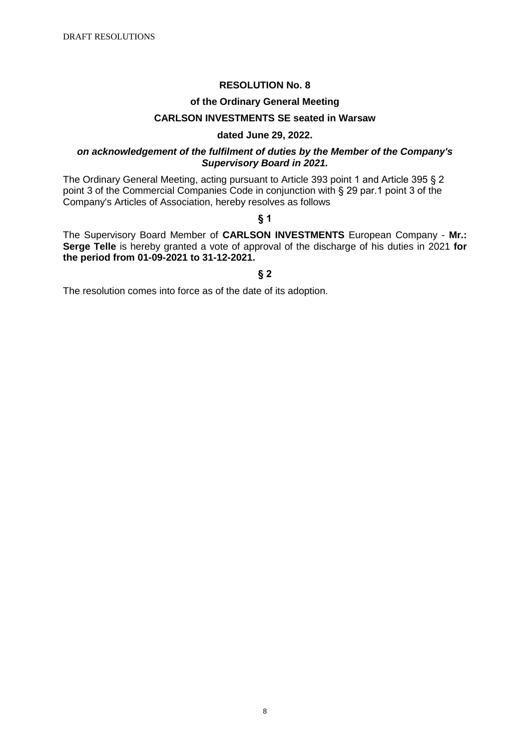### **of the Ordinary General Meeting**

### **CARLSON INVESTMENTS SE seated in Warsaw**

# **dated June 29, 2022.**

### *on acknowledgement of the fulfilment of duties by the Member of the Company's Supervisory Board in 2021.*

The Ordinary General Meeting, acting pursuant to Article 393 point 1 and Article 395 § 2 point 3 of the Commercial Companies Code in conjunction with § 29 par.1 point 3 of the Company's Articles of Association, hereby resolves as follows

# **§ 1**

The Supervisory Board Member of **CARLSON INVESTMENTS** European Company - **Mr.: Serge Telle** is hereby granted a vote of approval of the discharge of his duties in 2021 **for the period from 01-09-2021 to 31-12-2021.**

### **§ 2**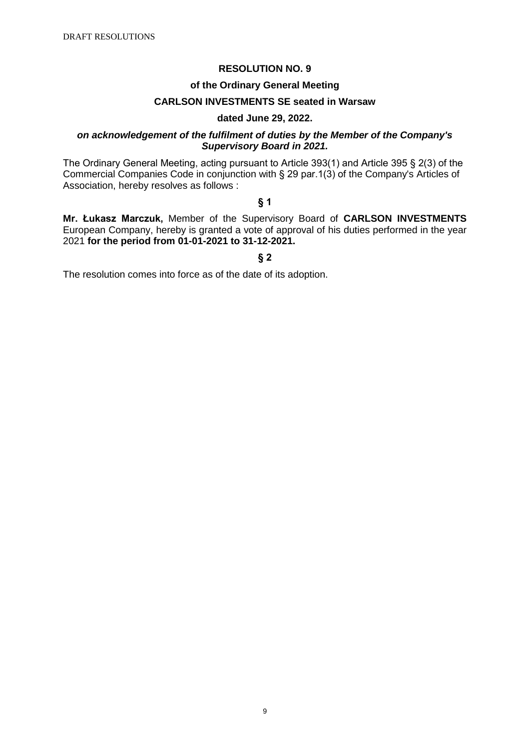## **of the Ordinary General Meeting**

### **CARLSON INVESTMENTS SE seated in Warsaw**

# **dated June 29, 2022.**

#### *on acknowledgement of the fulfilment of duties by the Member of the Company's Supervisory Board in 2021.*

The Ordinary General Meeting, acting pursuant to Article 393(1) and Article 395 § 2(3) of the Commercial Companies Code in conjunction with § 29 par.1(3) of the Company's Articles of Association, hereby resolves as follows :

**§ 1**

**Mr. Łukasz Marczuk,** Member of the Supervisory Board of **CARLSON INVESTMENTS**  European Company, hereby is granted a vote of approval of his duties performed in the year 2021 **for the period from 01-01-2021 to 31-12-2021.**

#### **§ 2**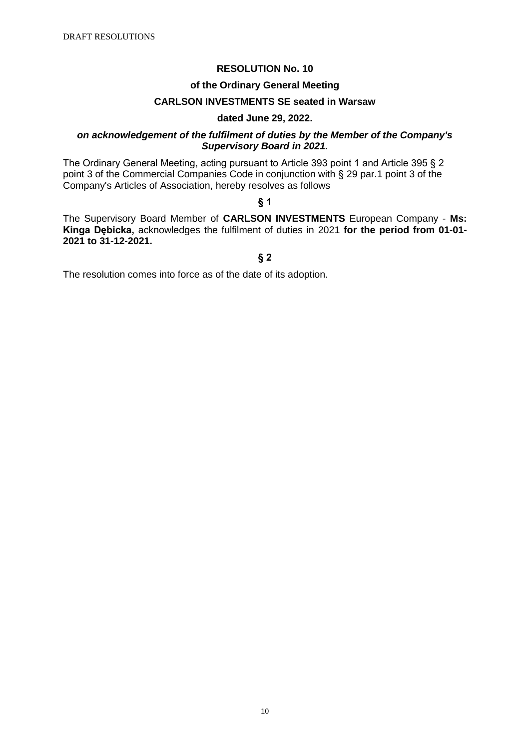# **of the Ordinary General Meeting**

### **CARLSON INVESTMENTS SE seated in Warsaw**

# **dated June 29, 2022.**

#### *on acknowledgement of the fulfilment of duties by the Member of the Company's Supervisory Board in 2021.*

The Ordinary General Meeting, acting pursuant to Article 393 point 1 and Article 395 § 2 point 3 of the Commercial Companies Code in conjunction with § 29 par.1 point 3 of the Company's Articles of Association, hereby resolves as follows

# **§ 1**

The Supervisory Board Member of **CARLSON INVESTMENTS** European Company - **Ms: Kinga Dębicka,** acknowledges the fulfilment of duties in 2021 **for the period from 01-01- 2021 to 31-12-2021.**

#### **§ 2**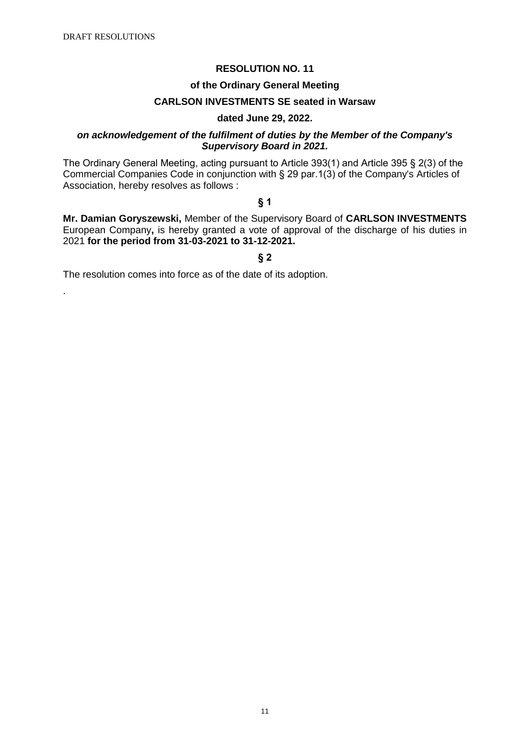.

# **RESOLUTION NO. 11**

# **of the Ordinary General Meeting**

### **CARLSON INVESTMENTS SE seated in Warsaw**

# **dated June 29, 2022.**

#### *on acknowledgement of the fulfilment of duties by the Member of the Company's Supervisory Board in 2021.*

The Ordinary General Meeting, acting pursuant to Article 393(1) and Article 395 § 2(3) of the Commercial Companies Code in conjunction with § 29 par.1(3) of the Company's Articles of Association, hereby resolves as follows :

# **§ 1**

**Mr. Damian Goryszewski,** Member of the Supervisory Board of **CARLSON INVESTMENTS**  European Company**,** is hereby granted a vote of approval of the discharge of his duties in 2021 **for the period from 31-03-2021 to 31-12-2021.**

### **§ 2**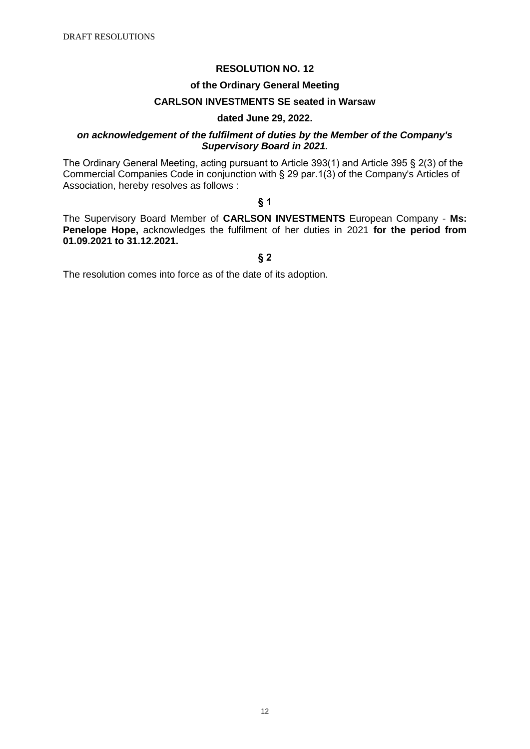# **of the Ordinary General Meeting**

### **CARLSON INVESTMENTS SE seated in Warsaw**

# **dated June 29, 2022.**

#### *on acknowledgement of the fulfilment of duties by the Member of the Company's Supervisory Board in 2021.*

The Ordinary General Meeting, acting pursuant to Article 393(1) and Article 395 § 2(3) of the Commercial Companies Code in conjunction with § 29 par.1(3) of the Company's Articles of Association, hereby resolves as follows :

# **§ 1**

The Supervisory Board Member of **CARLSON INVESTMENTS** European Company - **Ms: Penelope Hope,** acknowledges the fulfilment of her duties in 2021 **for the period from 01.09.2021 to 31.12.2021.**

# **§ 2**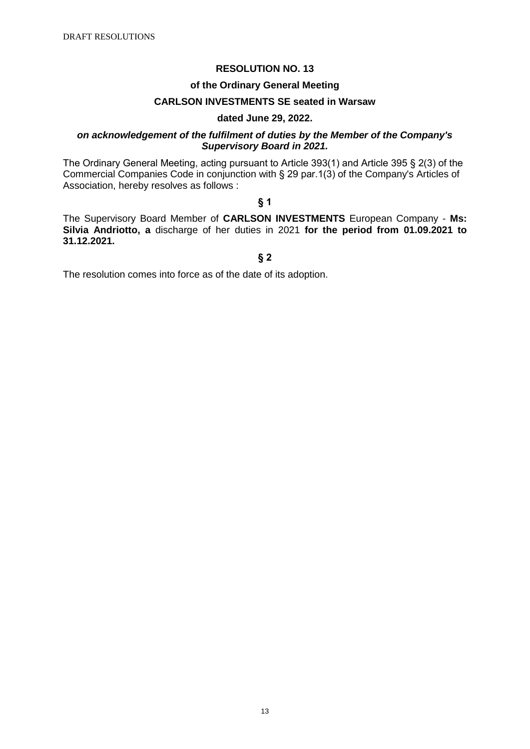# **of the Ordinary General Meeting**

### **CARLSON INVESTMENTS SE seated in Warsaw**

# **dated June 29, 2022.**

#### *on acknowledgement of the fulfilment of duties by the Member of the Company's Supervisory Board in 2021.*

The Ordinary General Meeting, acting pursuant to Article 393(1) and Article 395 § 2(3) of the Commercial Companies Code in conjunction with § 29 par.1(3) of the Company's Articles of Association, hereby resolves as follows :

### **§ 1**

The Supervisory Board Member of **CARLSON INVESTMENTS** European Company - **Ms: Silvia Andriotto, a** discharge of her duties in 2021 **for the period from 01.09.2021 to 31.12.2021.**

#### **§ 2**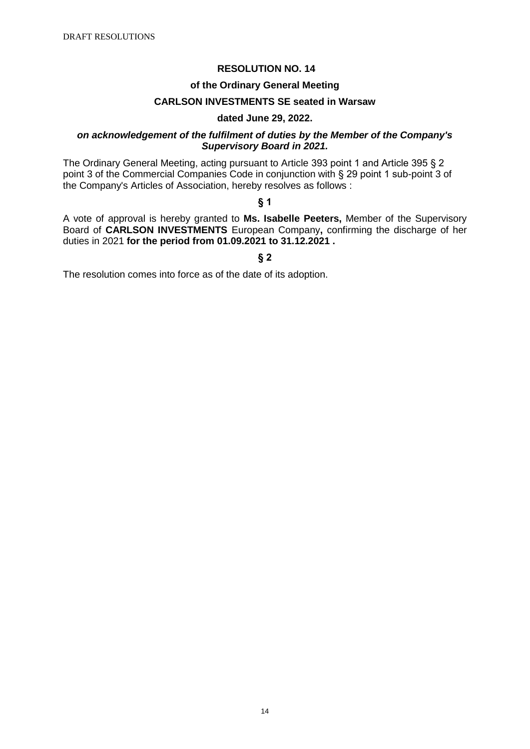## **of the Ordinary General Meeting**

### **CARLSON INVESTMENTS SE seated in Warsaw**

# **dated June 29, 2022.**

#### *on acknowledgement of the fulfilment of duties by the Member of the Company's Supervisory Board in 2021.*

The Ordinary General Meeting, acting pursuant to Article 393 point 1 and Article 395 § 2 point 3 of the Commercial Companies Code in conjunction with § 29 point 1 sub-point 3 of the Company's Articles of Association, hereby resolves as follows :

### **§ 1**

A vote of approval is hereby granted to **Ms. Isabelle Peeters,** Member of the Supervisory Board of **CARLSON INVESTMENTS** European Company**,** confirming the discharge of her duties in 2021 **for the period from 01.09.2021 to 31.12.2021 .**

#### **§ 2**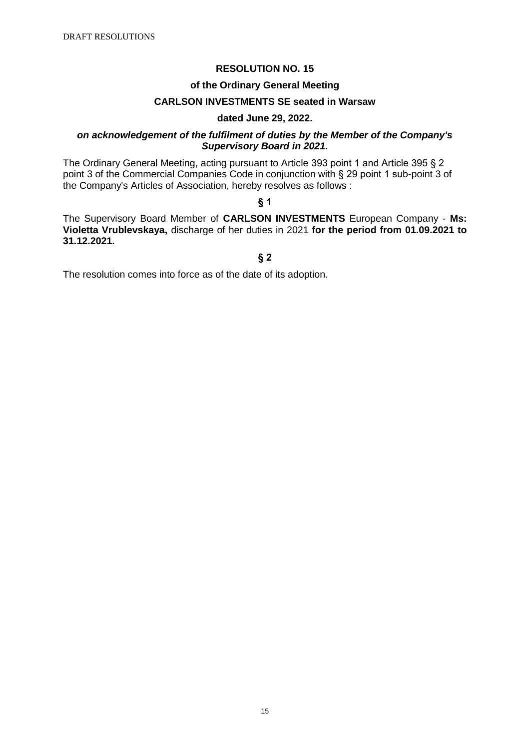# **of the Ordinary General Meeting**

### **CARLSON INVESTMENTS SE seated in Warsaw**

# **dated June 29, 2022.**

#### *on acknowledgement of the fulfilment of duties by the Member of the Company's Supervisory Board in 2021.*

The Ordinary General Meeting, acting pursuant to Article 393 point 1 and Article 395 § 2 point 3 of the Commercial Companies Code in conjunction with § 29 point 1 sub-point 3 of the Company's Articles of Association, hereby resolves as follows :

# **§ 1**

The Supervisory Board Member of **CARLSON INVESTMENTS** European Company - **Ms: Violetta Vrublevskaya,** discharge of her duties in 2021 **for the period from 01.09.2021 to 31.12.2021.**

#### **§ 2**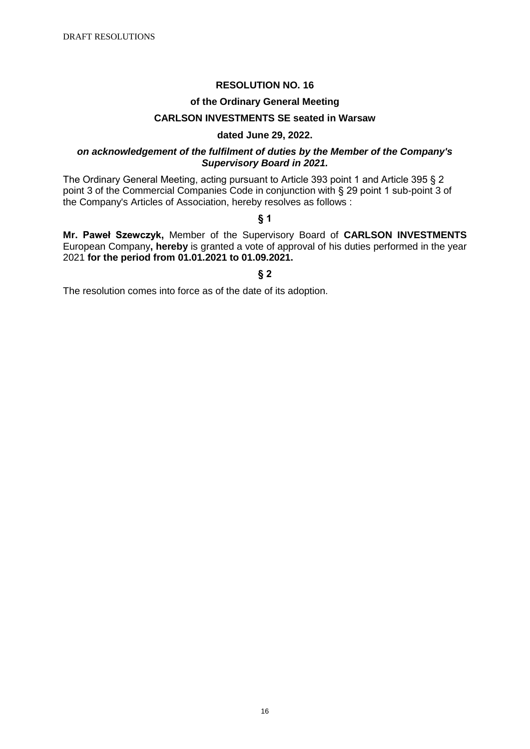### **of the Ordinary General Meeting**

### **CARLSON INVESTMENTS SE seated in Warsaw**

# **dated June 29, 2022.**

### *on acknowledgement of the fulfilment of duties by the Member of the Company's Supervisory Board in 2021.*

The Ordinary General Meeting, acting pursuant to Article 393 point 1 and Article 395 § 2 point 3 of the Commercial Companies Code in conjunction with § 29 point 1 sub-point 3 of the Company's Articles of Association, hereby resolves as follows :

### **§ 1**

**Mr. Paweł Szewczyk,** Member of the Supervisory Board of **CARLSON INVESTMENTS**  European Company**, hereby** is granted a vote of approval of his duties performed in the year 2021 **for the period from 01.01.2021 to 01.09.2021.**

### **§ 2**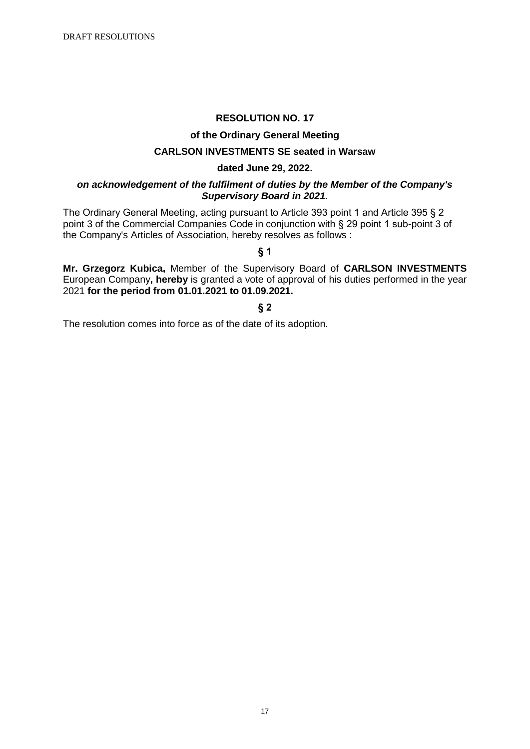#### **of the Ordinary General Meeting**

### **CARLSON INVESTMENTS SE seated in Warsaw**

#### **dated June 29, 2022.**

## *on acknowledgement of the fulfilment of duties by the Member of the Company's Supervisory Board in 2021.*

The Ordinary General Meeting, acting pursuant to Article 393 point 1 and Article 395 § 2 point 3 of the Commercial Companies Code in conjunction with § 29 point 1 sub-point 3 of the Company's Articles of Association, hereby resolves as follows :

#### **§ 1**

**Mr. Grzegorz Kubica,** Member of the Supervisory Board of **CARLSON INVESTMENTS**  European Company**, hereby** is granted a vote of approval of his duties performed in the year 2021 **for the period from 01.01.2021 to 01.09.2021.**

### **§ 2**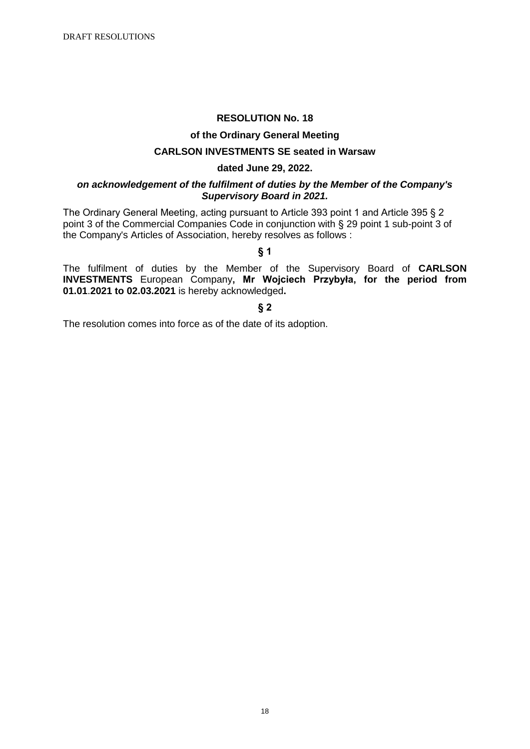#### **of the Ordinary General Meeting**

### **CARLSON INVESTMENTS SE seated in Warsaw**

#### **dated June 29, 2022.**

#### *on acknowledgement of the fulfilment of duties by the Member of the Company's Supervisory Board in 2021.*

The Ordinary General Meeting, acting pursuant to Article 393 point 1 and Article 395 § 2 point 3 of the Commercial Companies Code in conjunction with § 29 point 1 sub-point 3 of the Company's Articles of Association, hereby resolves as follows :

#### **§ 1**

The fulfilment of duties by the Member of the Supervisory Board of **CARLSON INVESTMENTS** European Company**, Mr Wojciech Przybyła, for the period from 01.01**.**2021 to 02.03.2021** is hereby acknowledged**.**

#### **§ 2**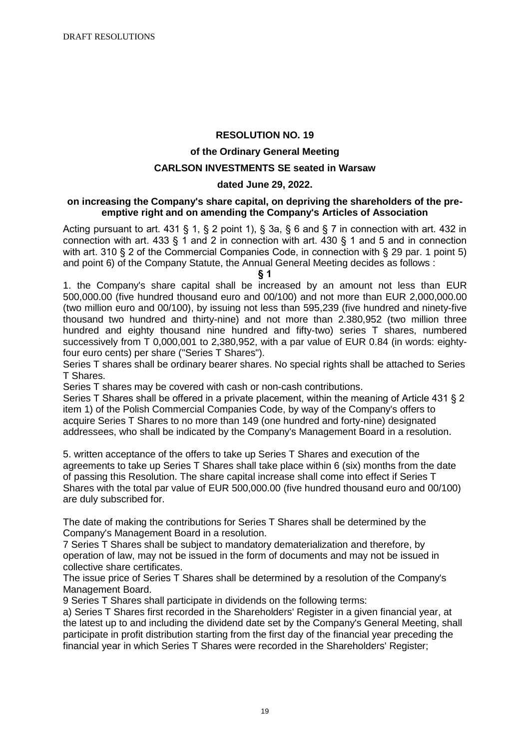### **of the Ordinary General Meeting**

### **CARLSON INVESTMENTS SE seated in Warsaw**

#### **dated June 29, 2022.**

### **on increasing the Company's share capital, on depriving the shareholders of the preemptive right and on amending the Company's Articles of Association**

Acting pursuant to art. 431 § 1, § 2 point 1), § 3a, § 6 and § 7 in connection with art. 432 in connection with art. 433 § 1 and 2 in connection with art. 430 § 1 and 5 and in connection with art. 310 § 2 of the Commercial Companies Code, in connection with § 29 par. 1 point 5) and point 6) of the Company Statute, the Annual General Meeting decides as follows :

**§ 1**

1. the Company's share capital shall be increased by an amount not less than EUR 500,000.00 (five hundred thousand euro and 00/100) and not more than EUR 2,000,000.00 (two million euro and 00/100), by issuing not less than 595,239 (five hundred and ninety-five thousand two hundred and thirty-nine) and not more than 2.380,952 (two million three hundred and eighty thousand nine hundred and fifty-two) series T shares, numbered successively from T 0,000,001 to 2,380,952, with a par value of EUR 0.84 (in words: eightyfour euro cents) per share ("Series T Shares").

Series T shares shall be ordinary bearer shares. No special rights shall be attached to Series T Shares.

Series T shares may be covered with cash or non-cash contributions.

Series T Shares shall be offered in a private placement, within the meaning of Article 431 § 2 item 1) of the Polish Commercial Companies Code, by way of the Company's offers to acquire Series T Shares to no more than 149 (one hundred and forty-nine) designated addressees, who shall be indicated by the Company's Management Board in a resolution.

5. written acceptance of the offers to take up Series T Shares and execution of the agreements to take up Series T Shares shall take place within 6 (six) months from the date of passing this Resolution. The share capital increase shall come into effect if Series T Shares with the total par value of EUR 500,000.00 (five hundred thousand euro and 00/100) are duly subscribed for.

The date of making the contributions for Series T Shares shall be determined by the Company's Management Board in a resolution.

7 Series T Shares shall be subject to mandatory dematerialization and therefore, by operation of law, may not be issued in the form of documents and may not be issued in collective share certificates.

The issue price of Series T Shares shall be determined by a resolution of the Company's Management Board.

9 Series T Shares shall participate in dividends on the following terms:

a) Series T Shares first recorded in the Shareholders' Register in a given financial year, at the latest up to and including the dividend date set by the Company's General Meeting, shall participate in profit distribution starting from the first day of the financial year preceding the financial year in which Series T Shares were recorded in the Shareholders' Register;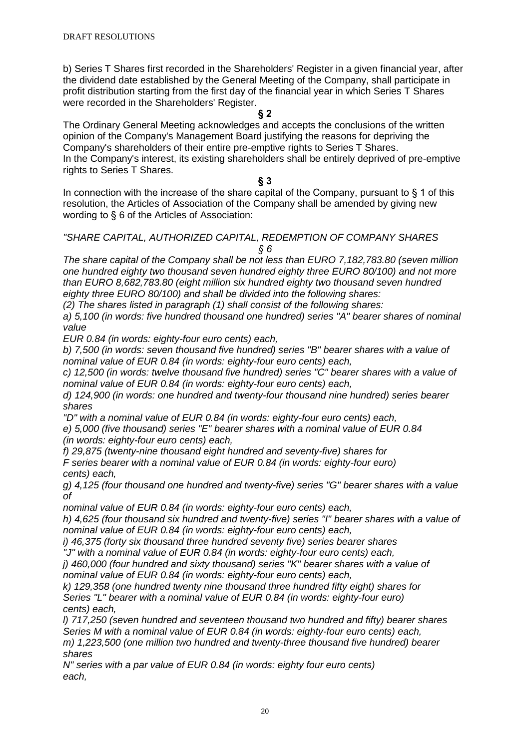b) Series T Shares first recorded in the Shareholders' Register in a given financial year, after the dividend date established by the General Meeting of the Company, shall participate in profit distribution starting from the first day of the financial year in which Series T Shares were recorded in the Shareholders' Register.

**§ 2**

The Ordinary General Meeting acknowledges and accepts the conclusions of the written opinion of the Company's Management Board justifying the reasons for depriving the Company's shareholders of their entire pre-emptive rights to Series T Shares. In the Company's interest, its existing shareholders shall be entirely deprived of pre-emptive rights to Series T Shares.

### **§ 3**

In connection with the increase of the share capital of the Company, pursuant to  $\S$  1 of this resolution, the Articles of Association of the Company shall be amended by giving new wording to § 6 of the Articles of Association:

### *"SHARE CAPITAL, AUTHORIZED CAPITAL, REDEMPTION OF COMPANY SHARES § 6*

*The share capital of the Company shall be not less than EURO 7,182,783.80 (seven million one hundred eighty two thousand seven hundred eighty three EURO 80/100) and not more than EURO 8,682,783.80 (eight million six hundred eighty two thousand seven hundred eighty three EURO 80/100) and shall be divided into the following shares:*

*(2) The shares listed in paragraph (1) shall consist of the following shares:*

*a) 5,100 (in words: five hundred thousand one hundred) series "A" bearer shares of nominal value*

*EUR 0.84 (in words: eighty-four euro cents) each,*

*b) 7,500 (in words: seven thousand five hundred) series "B" bearer shares with a value of nominal value of EUR 0.84 (in words: eighty-four euro cents) each,*

*c) 12,500 (in words: twelve thousand five hundred) series "C" bearer shares with a value of nominal value of EUR 0.84 (in words: eighty-four euro cents) each,*

*d) 124,900 (in words: one hundred and twenty-four thousand nine hundred) series bearer shares*

*"D" with a nominal value of EUR 0.84 (in words: eighty-four euro cents) each,*

*e) 5,000 (five thousand) series "E" bearer shares with a nominal value of EUR 0.84 (in words: eighty-four euro cents) each,*

*f) 29,875 (twenty-nine thousand eight hundred and seventy-five) shares for F series bearer with a nominal value of EUR 0.84 (in words: eighty-four euro) cents) each,*

*g) 4,125 (four thousand one hundred and twenty-five) series "G" bearer shares with a value of*

*nominal value of EUR 0.84 (in words: eighty-four euro cents) each,*

*h) 4,625 (four thousand six hundred and twenty-five) series "I" bearer shares with a value of nominal value of EUR 0.84 (in words: eighty-four euro cents) each,*

*i) 46,375 (forty six thousand three hundred seventy five) series bearer shares*

*"J" with a nominal value of EUR 0.84 (in words: eighty-four euro cents) each,*

*j) 460,000 (four hundred and sixty thousand) series "K" bearer shares with a value of nominal value of EUR 0.84 (in words: eighty-four euro cents) each,*

*k) 129,358 (one hundred twenty nine thousand three hundred fifty eight) shares for Series "L" bearer with a nominal value of EUR 0.84 (in words: eighty-four euro) cents) each,*

*l) 717,250 (seven hundred and seventeen thousand two hundred and fifty) bearer shares Series M with a nominal value of EUR 0.84 (in words: eighty-four euro cents) each, m) 1,223,500 (one million two hundred and twenty-three thousand five hundred) bearer shares*

*N" series with a par value of EUR 0.84 (in words: eighty four euro cents) each,*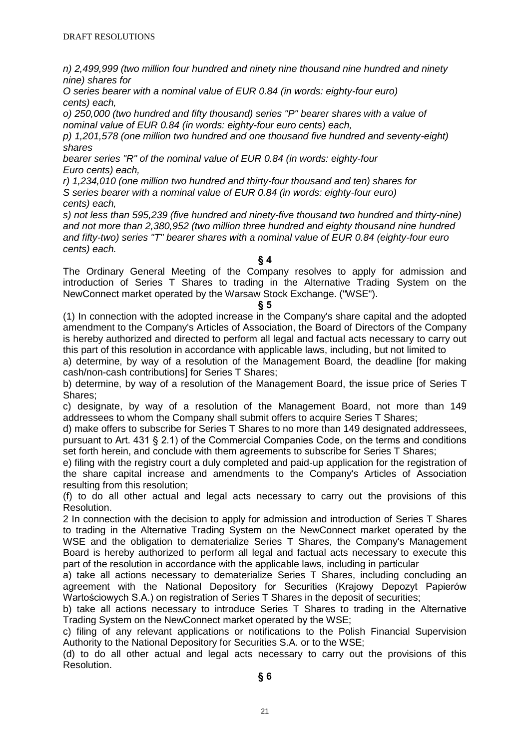*n) 2,499,999 (two million four hundred and ninety nine thousand nine hundred and ninety nine) shares for*

*O series bearer with a nominal value of EUR 0.84 (in words: eighty-four euro) cents) each,*

*o) 250,000 (two hundred and fifty thousand) series "P" bearer shares with a value of nominal value of EUR 0.84 (in words: eighty-four euro cents) each,*

*p) 1,201,578 (one million two hundred and one thousand five hundred and seventy-eight) shares*

*bearer series "R" of the nominal value of EUR 0.84 (in words: eighty-four Euro cents) each,*

*r) 1,234,010 (one million two hundred and thirty-four thousand and ten) shares for S series bearer with a nominal value of EUR 0.84 (in words: eighty-four euro) cents) each,*

*s) not less than 595,239 (five hundred and ninety-five thousand two hundred and thirty-nine) and not more than 2,380,952 (two million three hundred and eighty thousand nine hundred and fifty-two) series "T" bearer shares with a nominal value of EUR 0.84 (eighty-four euro cents) each.*

# **§ 4**

The Ordinary General Meeting of the Company resolves to apply for admission and introduction of Series T Shares to trading in the Alternative Trading System on the NewConnect market operated by the Warsaw Stock Exchange. ("WSE").

#### **§ 5**

(1) In connection with the adopted increase in the Company's share capital and the adopted amendment to the Company's Articles of Association, the Board of Directors of the Company is hereby authorized and directed to perform all legal and factual acts necessary to carry out this part of this resolution in accordance with applicable laws, including, but not limited to

a) determine, by way of a resolution of the Management Board, the deadline [for making cash/non-cash contributions] for Series T Shares;

b) determine, by way of a resolution of the Management Board, the issue price of Series T Shares;

c) designate, by way of a resolution of the Management Board, not more than 149 addressees to whom the Company shall submit offers to acquire Series T Shares;

d) make offers to subscribe for Series T Shares to no more than 149 designated addressees, pursuant to Art. 431 § 2.1) of the Commercial Companies Code, on the terms and conditions set forth herein, and conclude with them agreements to subscribe for Series T Shares;

e) filing with the registry court a duly completed and paid-up application for the registration of the share capital increase and amendments to the Company's Articles of Association resulting from this resolution;

(f) to do all other actual and legal acts necessary to carry out the provisions of this Resolution.

2 In connection with the decision to apply for admission and introduction of Series T Shares to trading in the Alternative Trading System on the NewConnect market operated by the WSE and the obligation to dematerialize Series T Shares, the Company's Management Board is hereby authorized to perform all legal and factual acts necessary to execute this part of the resolution in accordance with the applicable laws, including in particular

a) take all actions necessary to dematerialize Series T Shares, including concluding an agreement with the National Depository for Securities (Krajowy Depozyt Papierów Wartościowych S.A.) on registration of Series T Shares in the deposit of securities;

b) take all actions necessary to introduce Series T Shares to trading in the Alternative Trading System on the NewConnect market operated by the WSE;

c) filing of any relevant applications or notifications to the Polish Financial Supervision Authority to the National Depository for Securities S.A. or to the WSE;

(d) to do all other actual and legal acts necessary to carry out the provisions of this Resolution.

**§ 6**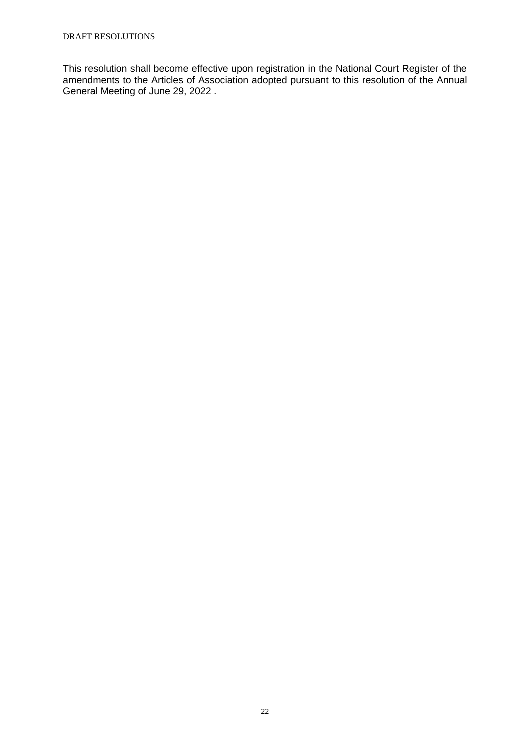This resolution shall become effective upon registration in the National Court Register of the amendments to the Articles of Association adopted pursuant to this resolution of the Annual General Meeting of June 29, 2022 .